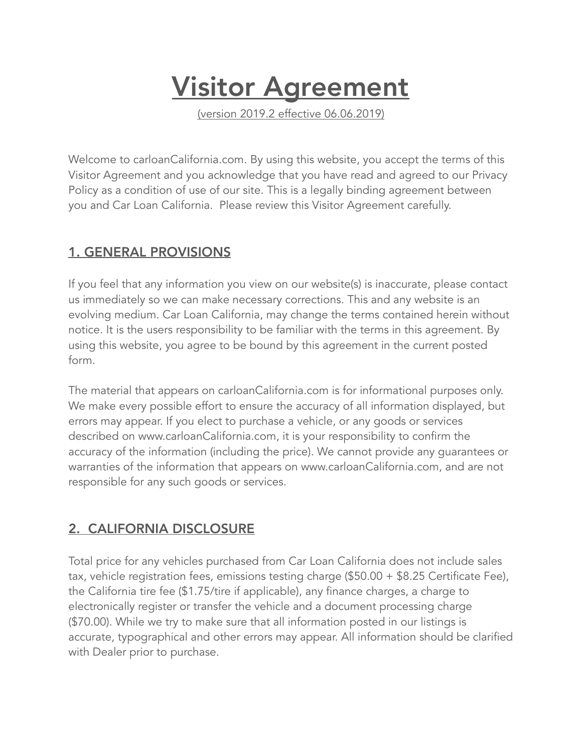# **Visitor Agreement**

(version 2019.2 effective 06.06.2019)

Welcome to carloanCalifornia.com. By using this website, you accept the terms of this Visitor Agreement and you acknowledge that you have read and agreed to our Privacy Policy as a condition of use of our site. This is a legally binding agreement between you and Car Loan California. Please review this Visitor Agreement carefully.

#### 1. GENERAL PROVISIONS

If you feel that any information you view on our website(s) is inaccurate, please contact us immediately so we can make necessary corrections. This and any website is an evolving medium. Car Loan California, may change the terms contained herein without notice. It is the users responsibility to be familiar with the terms in this agreement. By using this website, you agree to be bound by this agreement in the current posted form.

The material that appears on carloanCalifornia.com is for informational purposes only. We make every possible effort to ensure the accuracy of all information displayed, but errors may appear. If you elect to purchase a vehicle, or any goods or services described on www.carloanCalifornia.com, it is your responsibility to confirm the accuracy of the information (including the price). We cannot provide any guarantees or warranties of the information that appears on www.carloanCalifornia.com, and are not responsible for any such goods or services.

# 2. CALIFORNIA DISCLOSURE

Total price for any vehicles purchased from Car Loan California does not include sales tax, vehicle registration fees, emissions testing charge (\$50.00 + \$8.25 Certificate Fee), the California tire fee (\$1.75/tire if applicable), any finance charges, a charge to electronically register or transfer the vehicle and a document processing charge (\$70.00). While we try to make sure that all information posted in our listings is accurate, typographical and other errors may appear. All information should be clarified with Dealer prior to purchase.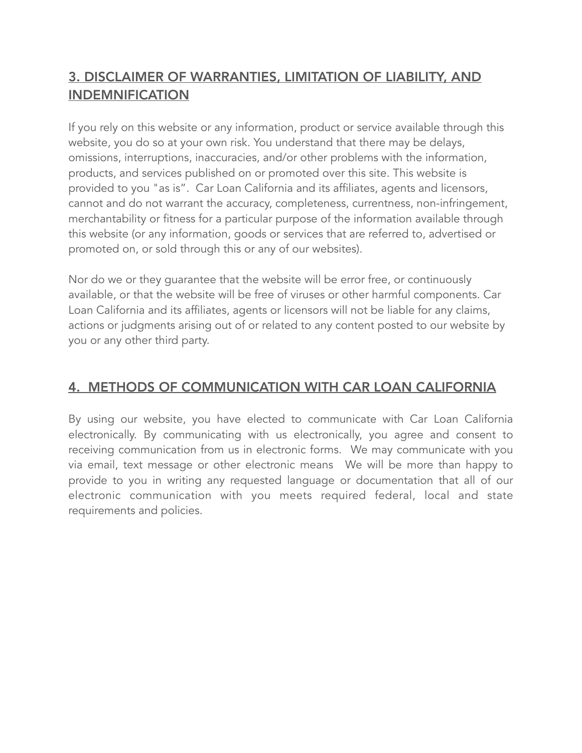# 3. DISCLAIMER OF WARRANTIES, LIMITATION OF LIABILITY, AND INDEMNIFICATION

If you rely on this website or any information, product or service available through this website, you do so at your own risk. You understand that there may be delays, omissions, interruptions, inaccuracies, and/or other problems with the information, products, and services published on or promoted over this site. This website is provided to you "as is". Car Loan California and its affiliates, agents and licensors, cannot and do not warrant the accuracy, completeness, currentness, non-infringement, merchantability or fitness for a particular purpose of the information available through this website (or any information, goods or services that are referred to, advertised or promoted on, or sold through this or any of our websites).

Nor do we or they guarantee that the website will be error free, or continuously available, or that the website will be free of viruses or other harmful components. Car Loan California and its affiliates, agents or licensors will not be liable for any claims, actions or judgments arising out of or related to any content posted to our website by you or any other third party.

### 4. METHODS OF COMMUNICATION WITH CAR LOAN CALIFORNIA

By using our website, you have elected to communicate with Car Loan California electronically. By communicating with us electronically, you agree and consent to receiving communication from us in electronic forms. We may communicate with you via email, text message or other electronic means We will be more than happy to provide to you in writing any requested language or documentation that all of our electronic communication with you meets required federal, local and state requirements and policies.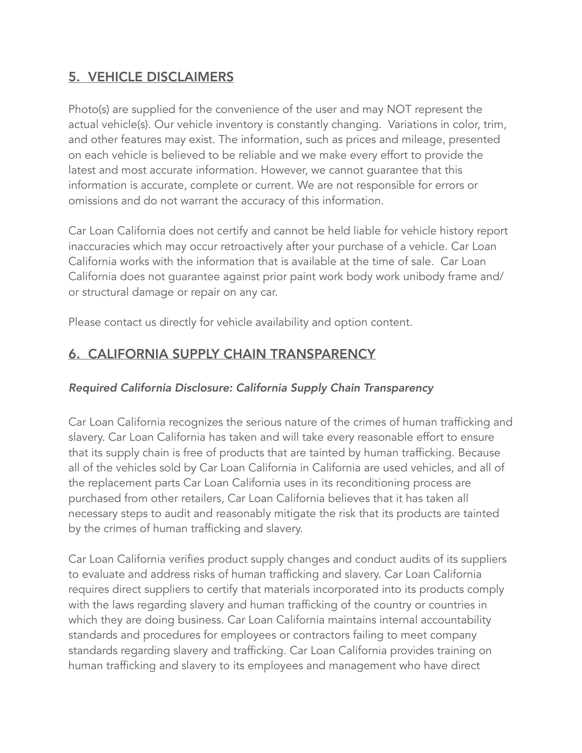# 5. VEHICLE DISCLAIMERS

Photo(s) are supplied for the convenience of the user and may NOT represent the actual vehicle(s). Our vehicle inventory is constantly changing. Variations in color, trim, and other features may exist. The information, such as prices and mileage, presented on each vehicle is believed to be reliable and we make every effort to provide the latest and most accurate information. However, we cannot guarantee that this information is accurate, complete or current. We are not responsible for errors or omissions and do not warrant the accuracy of this information.

Car Loan California does not certify and cannot be held liable for vehicle history report inaccuracies which may occur retroactively after your purchase of a vehicle. Car Loan California works with the information that is available at the time of sale. Car Loan California does not guarantee against prior paint work body work unibody frame and/ or structural damage or repair on any car.

Please contact us directly for vehicle availability and option content.

### 6. CALIFORNIA SUPPLY CHAIN TRANSPARENCY

#### *Required California Disclosure: California Supply Chain Transparency*

Car Loan California recognizes the serious nature of the crimes of human trafficking and slavery. Car Loan California has taken and will take every reasonable effort to ensure that its supply chain is free of products that are tainted by human trafficking. Because all of the vehicles sold by Car Loan California in California are used vehicles, and all of the replacement parts Car Loan California uses in its reconditioning process are purchased from other retailers, Car Loan California believes that it has taken all necessary steps to audit and reasonably mitigate the risk that its products are tainted by the crimes of human trafficking and slavery.

Car Loan California verifies product supply changes and conduct audits of its suppliers to evaluate and address risks of human trafficking and slavery. Car Loan California requires direct suppliers to certify that materials incorporated into its products comply with the laws regarding slavery and human trafficking of the country or countries in which they are doing business. Car Loan California maintains internal accountability standards and procedures for employees or contractors failing to meet company standards regarding slavery and trafficking. Car Loan California provides training on human trafficking and slavery to its employees and management who have direct